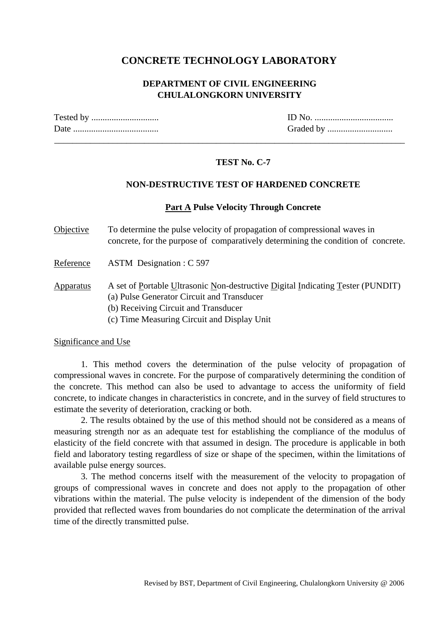## **CONCRETE TECHNOLOGY LABORATORY**

### **DEPARTMENT OF CIVIL ENGINEERING CHULALONGKORN UNIVERSITY**

\_\_\_\_\_\_\_\_\_\_\_\_\_\_\_\_\_\_\_\_\_\_\_\_\_\_\_\_\_\_\_\_\_\_\_\_\_\_\_\_\_\_\_\_\_\_\_\_\_\_\_\_\_\_\_\_\_\_\_\_\_\_\_\_\_\_\_\_\_\_\_\_\_\_\_\_\_\_

| Date |  |
|------|--|

Tested by .............................. ID No. ................................... Date ...................................... Graded by .............................

## **TEST No. C-7**

### **NON-DESTRUCTIVE TEST OF HARDENED CONCRETE**

#### **Part A Pulse Velocity Through Concrete**

Objective To determine the pulse velocity of propagation of compressional waves in concrete, for the purpose of comparatively determining the condition of concrete.

Reference ASTM Designation : C 597

Apparatus A set of Portable Ultrasonic Non-destructive Digital Indicating Tester (PUNDIT) (a) Pulse Generator Circuit and Transducer

- (b) Receiving Circuit and Transducer
- (c) Time Measuring Circuit and Display Unit

#### Significance and Use

 1. This method covers the determination of the pulse velocity of propagation of compressional waves in concrete. For the purpose of comparatively determining the condition of the concrete. This method can also be used to advantage to access the uniformity of field concrete, to indicate changes in characteristics in concrete, and in the survey of field structures to estimate the severity of deterioration, cracking or both.

 2. The results obtained by the use of this method should not be considered as a means of measuring strength nor as an adequate test for establishing the compliance of the modulus of elasticity of the field concrete with that assumed in design. The procedure is applicable in both field and laboratory testing regardless of size or shape of the specimen, within the limitations of available pulse energy sources.

 3. The method concerns itself with the measurement of the velocity to propagation of groups of compressional waves in concrete and does not apply to the propagation of other vibrations within the material. The pulse velocity is independent of the dimension of the body provided that reflected waves from boundaries do not complicate the determination of the arrival time of the directly transmitted pulse.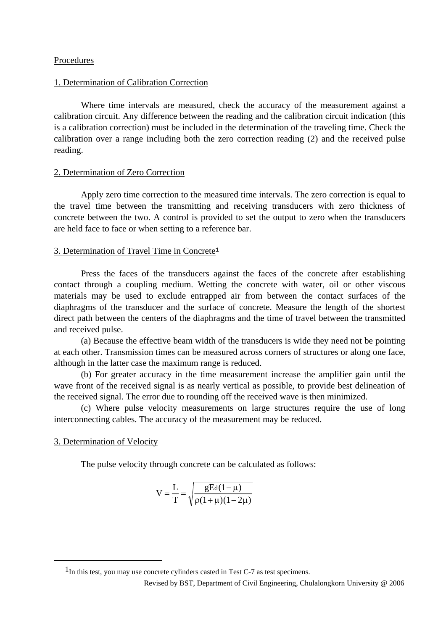#### Procedures

#### 1. Determination of Calibration Correction

 Where time intervals are measured, check the accuracy of the measurement against a calibration circuit. Any difference between the reading and the calibration circuit indication (this is a calibration correction) must be included in the determination of the traveling time. Check the calibration over a range including both the zero correction reading (2) and the received pulse reading.

#### 2. Determination of Zero Correction

 Apply zero time correction to the measured time intervals. The zero correction is equal to the travel time between the transmitting and receiving transducers with zero thickness of concrete between the two. A control is provided to set the output to zero when the transducers are held face to face or when setting to a reference bar.

### 3. Determination of Travel Time in Concrete<sup>1</sup>

 Press the faces of the transducers against the faces of the concrete after establishing contact through a coupling medium. Wetting the concrete with water, oil or other viscous materials may be used to exclude entrapped air from between the contact surfaces of the diaphragms of the transducer and the surface of concrete. Measure the length of the shortest direct path between the centers of the diaphragms and the time of travel between the transmitted and received pulse.

 (a) Because the effective beam width of the transducers is wide they need not be pointing at each other. Transmission times can be measured across corners of structures or along one face, although in the latter case the maximum range is reduced.

 (b) For greater accuracy in the time measurement increase the amplifier gain until the wave front of the received signal is as nearly vertical as possible, to provide best delineation of the received signal. The error due to rounding off the received wave is then minimized.

 (c) Where pulse velocity measurements on large structures require the use of long interconnecting cables. The accuracy of the measurement may be reduced.

#### 3. Determination of Velocity

 $\overline{\phantom{0}}$ 

The pulse velocity through concrete can be calculated as follows:

$$
V = \frac{L}{T} = \sqrt{\frac{gEd(1-\mu)}{\rho(1+\mu)(1-2\mu)}}
$$

<sup>&</sup>lt;sup>1</sup>In this test, you may use concrete cylinders casted in Test C-7 as test specimens.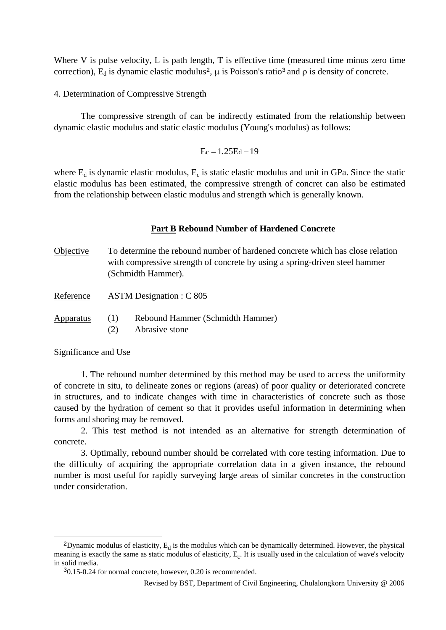Where V is pulse velocity, L is path length, T is effective time (measured time minus zero time correction),  $E_d$  is dynamic elastic modulus<sup>2</sup>,  $\mu$  is Poisson's ratio<sup>3</sup> and  $\rho$  is density of concrete.

#### 4. Determination of Compressive Strength

 The compressive strength of can be indirectly estimated from the relationship between dynamic elastic modulus and static elastic modulus (Young's modulus) as follows:

$$
E_c=1.25E_d-19
$$

where  $E_d$  is dynamic elastic modulus,  $E_c$  is static elastic modulus and unit in GPa. Since the static elastic modulus has been estimated, the compressive strength of concret can also be estimated from the relationship between elastic modulus and strength which is generally known.

#### **Part B Rebound Number of Hardened Concrete**

Objective To determine the rebound number of hardened concrete which has close relation with compressive strength of concrete by using a spring-driven steel hammer (Schmidth Hammer).

Reference ASTM Designation : C 805

- Apparatus (1) Rebound Hammer (Schmidth Hammer)
	- (2) Abrasive stone

Significance and Use

 $\overline{\phantom{0}}$ 

 1. The rebound number determined by this method may be used to access the uniformity of concrete in situ, to delineate zones or regions (areas) of poor quality or deteriorated concrete in structures, and to indicate changes with time in characteristics of concrete such as those caused by the hydration of cement so that it provides useful information in determining when forms and shoring may be removed.

 2. This test method is not intended as an alternative for strength determination of concrete.

 3. Optimally, rebound number should be correlated with core testing information. Due to the difficulty of acquiring the appropriate correlation data in a given instance, the rebound number is most useful for rapidly surveying large areas of similar concretes in the construction under consideration.

<sup>&</sup>lt;sup>2</sup>Dynamic modulus of elasticity,  $E_d$  is the modulus which can be dynamically determined. However, the physical meaning is exactly the same as static modulus of elasticity,  $E_c$ . It is usually used in the calculation of wave's velocity in solid media.

30.15-0.24 for normal concrete, however, 0.20 is recommended.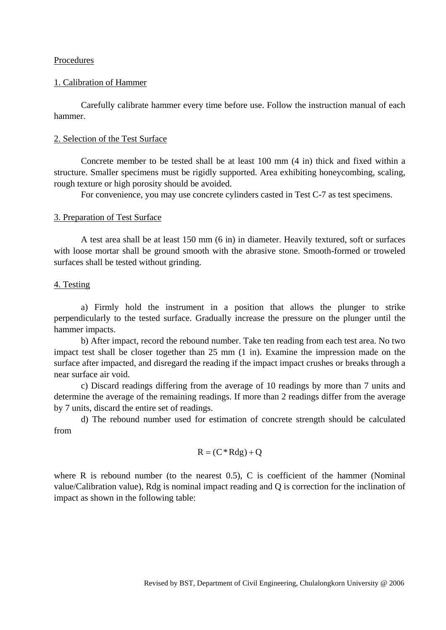#### Procedures

#### 1. Calibration of Hammer

 Carefully calibrate hammer every time before use. Follow the instruction manual of each hammer.

#### 2. Selection of the Test Surface

 Concrete member to be tested shall be at least 100 mm (4 in) thick and fixed within a structure. Smaller specimens must be rigidly supported. Area exhibiting honeycombing, scaling, rough texture or high porosity should be avoided.

For convenience, you may use concrete cylinders casted in Test C-7 as test specimens.

#### 3. Preparation of Test Surface

 A test area shall be at least 150 mm (6 in) in diameter. Heavily textured, soft or surfaces with loose mortar shall be ground smooth with the abrasive stone. Smooth-formed or troweled surfaces shall be tested without grinding.

#### 4. Testing

 a) Firmly hold the instrument in a position that allows the plunger to strike perpendicularly to the tested surface. Gradually increase the pressure on the plunger until the hammer impacts.

 b) After impact, record the rebound number. Take ten reading from each test area. No two impact test shall be closer together than 25 mm (1 in). Examine the impression made on the surface after impacted, and disregard the reading if the impact impact crushes or breaks through a near surface air void.

 c) Discard readings differing from the average of 10 readings by more than 7 units and determine the average of the remaining readings. If more than 2 readings differ from the average by 7 units, discard the entire set of readings.

 d) The rebound number used for estimation of concrete strength should be calculated from

$$
R = (C * R dg) + Q
$$

where R is rebound number (to the nearest  $(0.5)$ , C is coefficient of the hammer (Nominal value/Calibration value), Rdg is nominal impact reading and Q is correction for the inclination of impact as shown in the following table: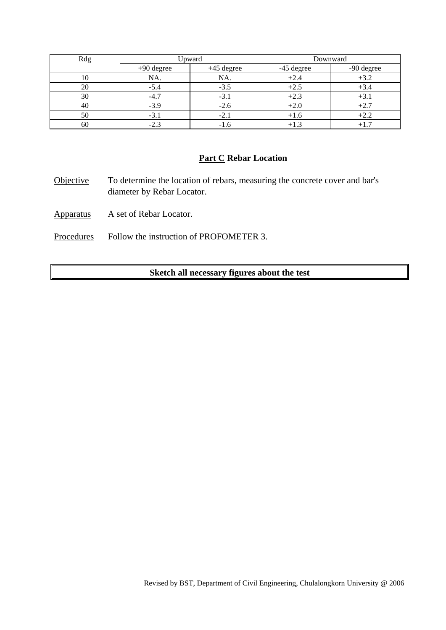| Rdg | Upward       |              | Downward   |            |
|-----|--------------|--------------|------------|------------|
|     | $+90$ degree | $+45$ degree | -45 degree | -90 degree |
| 10  | NA.          | NA.          | $+2.4$     |            |
| 20  | $-5.4$       | $-3.5$       | $+2.5$     | $+3.4$     |
| 30  | $-4.7$       | $-3.1$       | $+2.3$     | $+3.1$     |
| 40  | $-3.9$       | $-2.6$       | $+2.0$     | $+2.7$     |
| 50  | $-3.1$       | $-2.1$       | $+1.6$     |            |
| 60  | $-2.3$       | -1.6         | $+1.3$     |            |

## **Part C Rebar Location**

Objective To determine the location of rebars, measuring the concrete cover and bar's diameter by Rebar Locator.

Apparatus A set of Rebar Locator.

Procedures Follow the instruction of PROFOMETER 3.

## **Sketch all necessary figures about the test**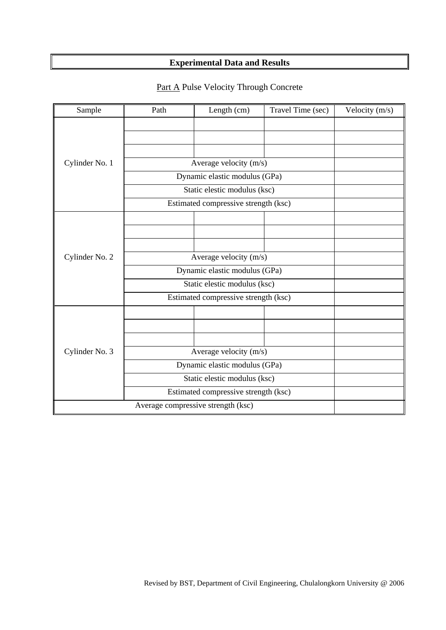# **Experimental Data and Results**

| Sample                             | Path                                 | Length (cm)                          | Travel Time (sec) | Velocity $(m/s)$ |
|------------------------------------|--------------------------------------|--------------------------------------|-------------------|------------------|
|                                    |                                      |                                      |                   |                  |
|                                    |                                      |                                      |                   |                  |
|                                    |                                      |                                      |                   |                  |
| Cylinder No. 1                     | Average velocity (m/s)               |                                      |                   |                  |
|                                    | Dynamic elastic modulus (GPa)        |                                      |                   |                  |
|                                    | Static elestic modulus (ksc)         |                                      |                   |                  |
|                                    |                                      | Estimated compressive strength (ksc) |                   |                  |
|                                    |                                      |                                      |                   |                  |
|                                    |                                      |                                      |                   |                  |
|                                    |                                      |                                      |                   |                  |
| Cylinder No. 2                     | Average velocity (m/s)               |                                      |                   |                  |
|                                    | Dynamic elastic modulus (GPa)        |                                      |                   |                  |
|                                    | Static elestic modulus (ksc)         |                                      |                   |                  |
|                                    |                                      | Estimated compressive strength (ksc) |                   |                  |
|                                    |                                      |                                      |                   |                  |
|                                    |                                      |                                      |                   |                  |
|                                    |                                      |                                      |                   |                  |
| Cylinder No. 3                     | Average velocity (m/s)               |                                      |                   |                  |
|                                    | Dynamic elastic modulus (GPa)        |                                      |                   |                  |
|                                    | Static elestic modulus (ksc)         |                                      |                   |                  |
|                                    | Estimated compressive strength (ksc) |                                      |                   |                  |
| Average compressive strength (ksc) |                                      |                                      |                   |                  |

# Part A Pulse Velocity Through Concrete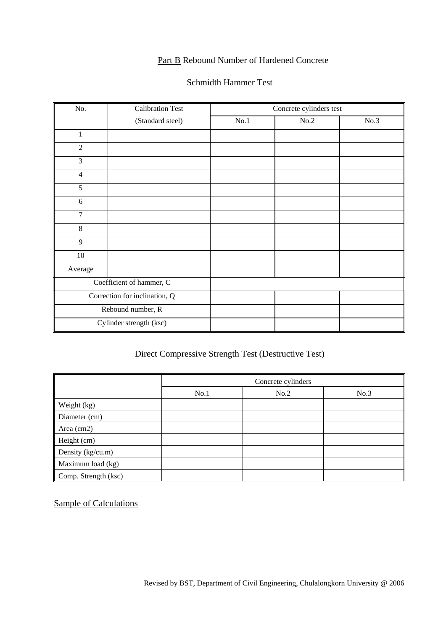## Part B Rebound Number of Hardened Concrete

## Schmidth Hammer Test

| No.                           | <b>Calibration Test</b>  | Concrete cylinders test |      |      |
|-------------------------------|--------------------------|-------------------------|------|------|
|                               | (Standard steel)         | No.1                    | No.2 | No.3 |
| $\mathbf{1}$                  |                          |                         |      |      |
| $\overline{2}$                |                          |                         |      |      |
| 3                             |                          |                         |      |      |
| $\overline{4}$                |                          |                         |      |      |
| 5                             |                          |                         |      |      |
| 6                             |                          |                         |      |      |
| $\overline{7}$                |                          |                         |      |      |
| $\,8\,$                       |                          |                         |      |      |
| 9                             |                          |                         |      |      |
| 10                            |                          |                         |      |      |
| Average                       |                          |                         |      |      |
|                               | Coefficient of hammer, C |                         |      |      |
| Correction for inclination, Q |                          |                         |      |      |
| Rebound number, R             |                          |                         |      |      |
|                               | Cylinder strength (ksc)  |                         |      |      |

# Direct Compressive Strength Test (Destructive Test)

|                      | Concrete cylinders |      |      |
|----------------------|--------------------|------|------|
|                      | No.1               | No.2 | No.3 |
| Weight (kg)          |                    |      |      |
| Diameter (cm)        |                    |      |      |
| Area (cm2)           |                    |      |      |
| Height (cm)          |                    |      |      |
| Density (kg/cu.m)    |                    |      |      |
| Maximum load (kg)    |                    |      |      |
| Comp. Strength (ksc) |                    |      |      |

Sample of Calculations